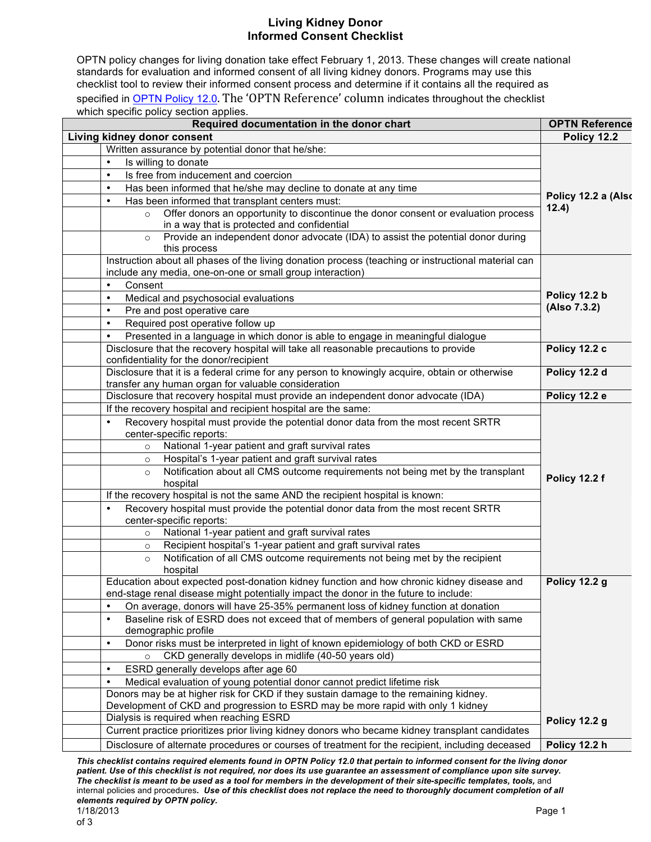## **Living Kidney Donor Informed Consent Checklist**

OPTN policy changes for living donation take effect February 1, 2013. These changes will create national standards for evaluation and informed consent of all living kidney donors. Programs may use this checklist tool to review their informed consent process and determine if it contains all the required as specified in OPTN Policy 12.0. The 'OPTN Reference' column indicates throughout the checklist which specific policy section applies.

| Required documentation in the donor chart                                                                                                                                         | <b>OPTN Reference</b>        |
|-----------------------------------------------------------------------------------------------------------------------------------------------------------------------------------|------------------------------|
| Living kidney donor consent                                                                                                                                                       | Policy 12.2                  |
| Written assurance by potential donor that he/she:                                                                                                                                 | Policy 12.2 a (Also<br>12.4) |
| Is willing to donate                                                                                                                                                              |                              |
| Is free from inducement and coercion<br>$\bullet$                                                                                                                                 |                              |
| Has been informed that he/she may decline to donate at any time<br>$\bullet$                                                                                                      |                              |
| Has been informed that transplant centers must:<br>$\bullet$                                                                                                                      |                              |
| Offer donors an opportunity to discontinue the donor consent or evaluation process<br>$\circ$<br>in a way that is protected and confidential                                      |                              |
| Provide an independent donor advocate (IDA) to assist the potential donor during<br>$\circ$<br>this process                                                                       |                              |
| Instruction about all phases of the living donation process (teaching or instructional material can<br>include any media, one-on-one or small group interaction)                  |                              |
| Consent<br>$\bullet$                                                                                                                                                              |                              |
| Medical and psychosocial evaluations<br>$\bullet$                                                                                                                                 | Policy 12.2 b                |
| Pre and post operative care<br>$\bullet$                                                                                                                                          | (Also 7.3.2)                 |
| Required post operative follow up<br>$\bullet$                                                                                                                                    |                              |
| Presented in a language in which donor is able to engage in meaningful dialogue<br>$\bullet$                                                                                      |                              |
| Disclosure that the recovery hospital will take all reasonable precautions to provide<br>confidentiality for the donor/recipient                                                  | Policy 12.2 c                |
| Disclosure that it is a federal crime for any person to knowingly acquire, obtain or otherwise<br>transfer any human organ for valuable consideration                             | Policy 12.2 d                |
| Disclosure that recovery hospital must provide an independent donor advocate (IDA)                                                                                                | Policy 12.2 e                |
| If the recovery hospital and recipient hospital are the same:                                                                                                                     |                              |
| Recovery hospital must provide the potential donor data from the most recent SRTR<br>center-specific reports:                                                                     |                              |
| National 1-year patient and graft survival rates<br>$\circ$                                                                                                                       |                              |
| Hospital's 1-year patient and graft survival rates                                                                                                                                |                              |
| Notification about all CMS outcome requirements not being met by the transplant<br>$\circ$                                                                                        |                              |
| hospital                                                                                                                                                                          | Policy 12.2 f                |
| If the recovery hospital is not the same AND the recipient hospital is known:                                                                                                     |                              |
| Recovery hospital must provide the potential donor data from the most recent SRTR<br>$\bullet$<br>center-specific reports:                                                        |                              |
| National 1-year patient and graft survival rates<br>$\circ$                                                                                                                       |                              |
| Recipient hospital's 1-year patient and graft survival rates<br>$\circ$                                                                                                           |                              |
| Notification of all CMS outcome requirements not being met by the recipient<br>$\circ$<br>hospital                                                                                |                              |
| Education about expected post-donation kidney function and how chronic kidney disease and<br>end-stage renal disease might potentially impact the donor in the future to include: | Policy 12.2 g                |
|                                                                                                                                                                                   |                              |
| On average, donors will have 25-35% permanent loss of kidney function at donation<br>$\bullet$                                                                                    |                              |
| Baseline risk of ESRD does not exceed that of members of general population with same<br>$\bullet$<br>demographic profile                                                         |                              |
| Donor risks must be interpreted in light of known epidemiology of both CKD or ESRD<br>$\bullet$                                                                                   |                              |
| CKD generally develops in midlife (40-50 years old)<br>$\circ$                                                                                                                    |                              |
| ESRD generally develops after age 60<br>$\bullet$                                                                                                                                 |                              |
| Medical evaluation of young potential donor cannot predict lifetime risk<br>$\bullet$                                                                                             |                              |
| Donors may be at higher risk for CKD if they sustain damage to the remaining kidney.                                                                                              |                              |
| Development of CKD and progression to ESRD may be more rapid with only 1 kidney                                                                                                   |                              |
| Dialysis is required when reaching ESRD                                                                                                                                           | Policy 12.2 g                |
| Current practice prioritizes prior living kidney donors who became kidney transplant candidates                                                                                   |                              |
| Disclosure of alternate procedures or courses of treatment for the recipient, including deceased                                                                                  | Policy 12.2 h                |

*This checklist contains required elements found in OPTN Policy 12.0 that pertain to informed consent for the living donor patient. Use of this checklist is not required, nor does its use guarantee an assessment of compliance upon site survey.*  The checklist is meant to be used as a tool for members in the development of their site-specific templates, tools, and internal policies and procedures*. Use of this checklist does not replace the need to thoroughly document completion of all elements required by OPTN policy.*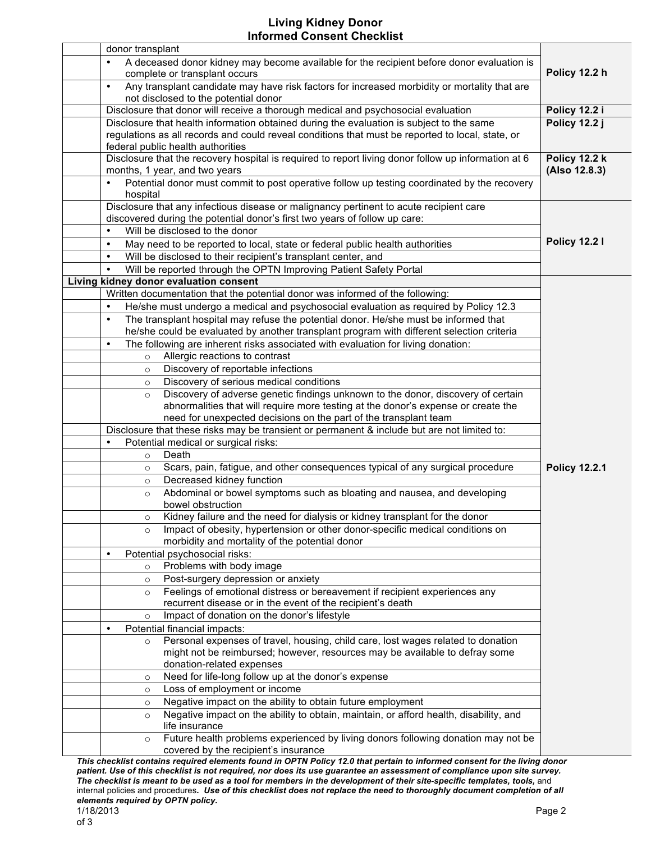## **Living Kidney Donor Informed Consent Checklist**

| donor transplant                                                                                                                                                                                                                                     |                                |
|------------------------------------------------------------------------------------------------------------------------------------------------------------------------------------------------------------------------------------------------------|--------------------------------|
| A deceased donor kidney may become available for the recipient before donor evaluation is<br>$\bullet$<br>complete or transplant occurs                                                                                                              | Policy 12.2 h                  |
| Any transplant candidate may have risk factors for increased morbidity or mortality that are<br>$\bullet$<br>not disclosed to the potential donor                                                                                                    |                                |
| Disclosure that donor will receive a thorough medical and psychosocial evaluation                                                                                                                                                                    | Policy 12.2 i                  |
| Disclosure that health information obtained during the evaluation is subject to the same<br>regulations as all records and could reveal conditions that must be reported to local, state, or<br>federal public health authorities                    | Policy 12.2 j                  |
| Disclosure that the recovery hospital is required to report living donor follow up information at 6<br>months, 1 year, and two years                                                                                                                 | Policy 12.2 k<br>(Also 12.8.3) |
| Potential donor must commit to post operative follow up testing coordinated by the recovery<br>$\bullet$<br>hospital                                                                                                                                 |                                |
| Disclosure that any infectious disease or malignancy pertinent to acute recipient care<br>discovered during the potential donor's first two years of follow up care:                                                                                 |                                |
| Will be disclosed to the donor<br>$\bullet$                                                                                                                                                                                                          |                                |
| May need to be reported to local, state or federal public health authorities<br>$\bullet$                                                                                                                                                            | <b>Policy 12.21</b>            |
| Will be disclosed to their recipient's transplant center, and<br>$\bullet$                                                                                                                                                                           |                                |
| Will be reported through the OPTN Improving Patient Safety Portal<br>$\bullet$                                                                                                                                                                       |                                |
| Living kidney donor evaluation consent                                                                                                                                                                                                               |                                |
| Written documentation that the potential donor was informed of the following:                                                                                                                                                                        |                                |
| He/she must undergo a medical and psychosocial evaluation as required by Policy 12.3<br>$\bullet$                                                                                                                                                    |                                |
| The transplant hospital may refuse the potential donor. He/she must be informed that<br>$\bullet$<br>he/she could be evaluated by another transplant program with different selection criteria                                                       |                                |
| The following are inherent risks associated with evaluation for living donation:<br>$\bullet$                                                                                                                                                        |                                |
| Allergic reactions to contrast<br>$\circ$                                                                                                                                                                                                            |                                |
| Discovery of reportable infections<br>$\circ$                                                                                                                                                                                                        |                                |
| Discovery of serious medical conditions<br>$\circ$                                                                                                                                                                                                   |                                |
| Discovery of adverse genetic findings unknown to the donor, discovery of certain<br>$\circ$<br>abnormalities that will require more testing at the donor's expense or create the<br>need for unexpected decisions on the part of the transplant team |                                |
| Disclosure that these risks may be transient or permanent & include but are not limited to:                                                                                                                                                          |                                |
| Potential medical or surgical risks:<br>$\bullet$                                                                                                                                                                                                    |                                |
| Death<br>$\circ$                                                                                                                                                                                                                                     |                                |
| Scars, pain, fatigue, and other consequences typical of any surgical procedure<br>$\circ$                                                                                                                                                            | <b>Policy 12.2.1</b>           |
| Decreased kidney function<br>$\circ$                                                                                                                                                                                                                 |                                |
| Abdominal or bowel symptoms such as bloating and nausea, and developing<br>$\circ$<br>bowel obstruction                                                                                                                                              |                                |
| Kidney failure and the need for dialysis or kidney transplant for the donor<br>$\circ$                                                                                                                                                               |                                |
| Impact of obesity, hypertension or other donor-specific medical conditions on<br>$\circ$<br>morbidity and mortality of the potential donor                                                                                                           |                                |
| Potential psychosocial risks:<br>$\bullet$                                                                                                                                                                                                           |                                |
| Problems with body image<br>$\circ$                                                                                                                                                                                                                  |                                |
| Post-surgery depression or anxiety<br>$\circ$                                                                                                                                                                                                        |                                |
| Feelings of emotional distress or bereavement if recipient experiences any<br>$\circ$<br>recurrent disease or in the event of the recipient's death                                                                                                  |                                |
| Impact of donation on the donor's lifestyle<br>$\circ$                                                                                                                                                                                               |                                |
| Potential financial impacts:<br>$\bullet$                                                                                                                                                                                                            |                                |
| Personal expenses of travel, housing, child care, lost wages related to donation<br>$\circ$                                                                                                                                                          |                                |
| might not be reimbursed; however, resources may be available to defray some                                                                                                                                                                          |                                |
| donation-related expenses                                                                                                                                                                                                                            |                                |
| Need for life-long follow up at the donor's expense<br>$\circ$                                                                                                                                                                                       |                                |
| Loss of employment or income<br>$\circ$                                                                                                                                                                                                              |                                |
| Negative impact on the ability to obtain future employment<br>$\circ$                                                                                                                                                                                |                                |
| Negative impact on the ability to obtain, maintain, or afford health, disability, and<br>$\circ$                                                                                                                                                     |                                |
| life insurance                                                                                                                                                                                                                                       |                                |
| Future health problems experienced by living donors following donation may not be<br>$\circ$<br>covered by the recipient's insurance                                                                                                                 |                                |
| ODTN Delieu 42.0 that nextein to informed concent for the living de<br>This shoolist contai                                                                                                                                                          |                                |

*This checklist contains required elements found in OPTN Policy 12.0 that pertain to informed consent for the living donor patient. Use of this checklist is not required, nor does its use guarantee an assessment of compliance upon site survey.*  The checklist is meant to be used as a tool for members in the development of their site-specific templates, tools, and internal policies and procedures*. Use of this checklist does not replace the need to thoroughly document completion of all elements required by OPTN policy.*